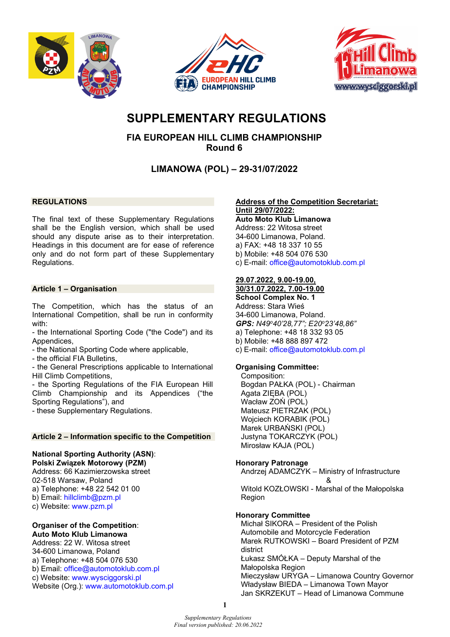





# **SUPPLEMENTARY REGULATIONS**

**FIA EUROPEAN HILL CLIMB CHAMPIONSHIP Round 6** 

**LIMANOWA (POL) – 29-31/07/2022**

# **REGULATIONS**

The final text of these Supplementary Regulations shall be the English version, which shall be used should any dispute arise as to their interpretation. Headings in this document are for ease of reference only and do not form part of these Supplementary Regulations.

# **Article 1 – Organisation**

The Competition, which has the status of an International Competition, shall be run in conformity with:

- the International Sporting Code ("the Code") and its Appendices,

- the National Sporting Code where applicable,

- the official FIA Bulletins,

- the General Prescriptions applicable to International Hill Climb Competitions,

- the Sporting Regulations of the FIA European Hill Climb Championship and its Appendices ("the Sporting Regulations"), and

- these Supplementary Regulations.

# **Article 2 – Information specific to the Competition**

# **National Sporting Authority (ASN)**:

**Polski Związek Motorowy (PZM)** Address: 66 Kazimierzowska street 02-518 Warsaw, Poland a) Telephone: +48 22 542 01 00 b) Email: [hillclimb@pzm.pl](mailto:hillclimb@pzm.pl)

c) Website: [www.pzm.pl](http://www.pzm.pl/)

#### **Organiser of the Competition**: **Auto Moto Klub Limanowa**

Address: 22 W. Witosa street 34-600 Limanowa, Poland a) Telephone: +48 504 076 530 b) Email: [office@automotoklub.com.pl](mailto:office@automotoklub.com.pl) c) Website: [www.wysciggorski.pl](http://www.wysciggorski.pl/) Website (Org.): [www.automotoklub.com.pl](http://www.automotoklub.com.pl/) 

#### **Address of the Competition Secretariat: Until 29/07/2022:**

**Auto Moto Klub Limanowa** Address: 22 Witosa street 34-600 Limanowa, Poland. a) FAX: +48 18 337 10 55 b) Mobile: +48 504 076 530 c) E-mail: [office@automotoklub.com.pl](mailto:office@automotoklub.com.pl)

### **29.07.2022, 9.00-19.00, 30/31.07.2022, 7.00-19.00**

**School Complex No. 1** Address: Stara Wieś 34-600 Limanowa, Poland. *GPS: N49o40'28,77"; E20o23'48,86"* a) Telephone: +48 18 332 93 05 b) Mobile: +48 888 897 472

c) E-mail: [office@automotoklub.com.pl](mailto:office@automotoklub.com.pl)

# **Organising Committee:**

Composition: Bogdan PAŁKA (POL) - Chairman Agata ZIĘBA (POL) Wacław ZOŃ (POL) Mateusz PIETRZAK (POL) Wojciech KORABIK (POL) Marek URBAŃSKI (POL) Justyna TOKARCZYK (POL) Mirosław KAJA (POL)

# **Honorary Patronage**

Andrzej ADAMCZYK – Ministry of Infrastructure &

Witold KOZŁOWSKI - Marshal of the Małopolska Region

# **Honorary Committee**

Michał SIKORA – President of the Polish Automobile and Motorcycle Federation Marek RUTKOWSKI – Board President of PZM district Łukasz SMÓŁKA – Deputy Marshal of the Małopolska Region Mieczysław URYGA – Limanowa Country Governor Władysław BIEDA – Limanowa Town Mayor Jan SKRZEKUT – Head of Limanowa Commune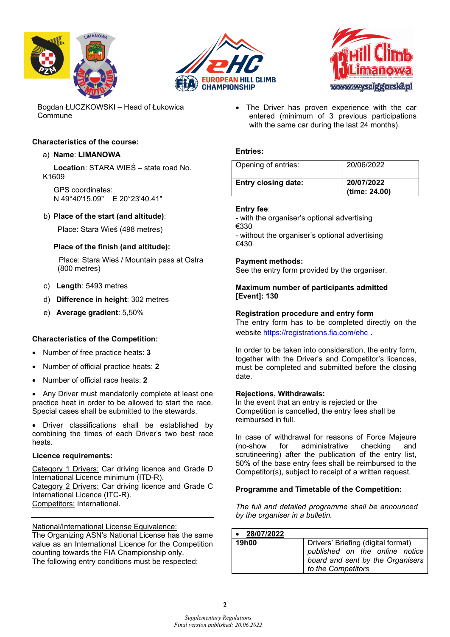





Bogdan ŁUCZKOWSKI – Head of Łukowica Commune

# **Characteristics of the course:**

# a) **Name**: **LIMANOWA**

**Location**: STARA WIEŚ – state road No. K1609

GPS coordinates: N 49°40'15.09" E 20°23'40.41"

# b) **Place of the start (and altitude)**:

Place: Stara Wieś (498 metres)

# **Place of the finish (and altitude):**

Place: Stara Wieś / Mountain pass at Ostra (800 metres)

- c) **Length**: 5493 metres
- d) **Difference in height**: 302 metres
- e) **Average gradient**: 5,50%

# **Characteristics of the Competition:**

- Number of free practice heats: **3**
- Number of official practice heats: **2**
- Number of official race heats: **2**

• Any Driver must mandatorily complete at least one practice heat in order to be allowed to start the race. Special cases shall be submitted to the stewards.

• Driver classifications shall be established by combining the times of each Driver's two best race heats.

### **Licence requirements:**

Category 1 Drivers: Car driving licence and Grade D International Licence minimum (ITD-R). Category 2 Drivers: Car driving licence and Grade C International Licence (ITC-R).

Competitors: International.

National/International License Equivalence:

The Organizing ASN's National License has the same value as an International Licence for the Competition counting towards the FIA Championship only. The following entry conditions must be respected:

• The Driver has proven experience with the car entered (minimum of 3 previous participations with the same car during the last 24 months).

# **Entries:**

| Opening of entries:        | 20/06/2022                  |
|----------------------------|-----------------------------|
| <b>Entry closing date:</b> | 20/07/2022<br>(time: 24.00) |

### **Entry fee**:

- with the organiser's optional advertising €330 - without the organiser's optional advertising

€430

### **Payment methods:**

See the entry form provided by the organiser.

# **Maximum number of participants admitted [Event]: 130**

# **Registration procedure and entry form**

The entry form has to be completed directly on the website <https://registrations.fia.com/ehc> .

In order to be taken into consideration, the entry form, together with the Driver's and Competitor's licences, must be completed and submitted before the closing date.

### **Rejections, Withdrawals:**

In the event that an entry is rejected or the Competition is cancelled, the entry fees shall be reimbursed in full.

In case of withdrawal for reasons of Force Majeure (no-show for administrative checking and scrutineering) after the publication of the entry list, 50% of the base entry fees shall be reimbursed to the Competitor(s), subject to receipt of a written request.

# **Programme and Timetable of the Competition:**

*The full and detailed programme shall be announced by the organiser in a bulletin.* 

| 28/07/2022   |                                                                                                                                  |
|--------------|----------------------------------------------------------------------------------------------------------------------------------|
| <b>19h00</b> | Drivers' Briefing (digital format)<br>published on the online notice<br>board and sent by the Organisers  <br>to the Competitors |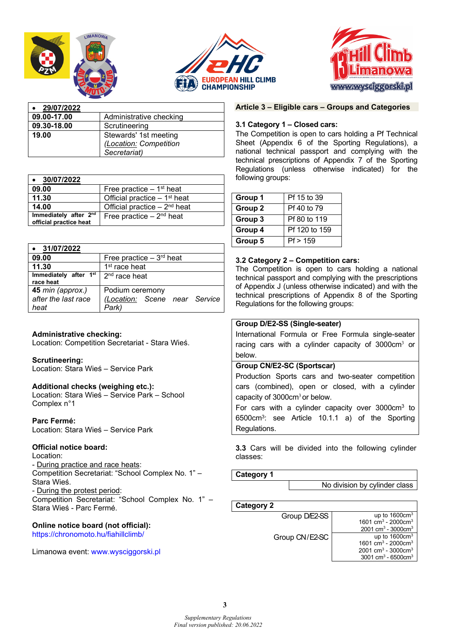





| 29/07/2022  |                         |
|-------------|-------------------------|
| 09.00-17.00 | Administrative checking |
| 09.30-18.00 | Scrutineering           |
| 19.00       | Stewards' 1st meeting   |
|             | (Location: Competition  |
|             | Secretariat)            |

| 30/07/2022                                                  |                                           |
|-------------------------------------------------------------|-------------------------------------------|
| 09.00                                                       | Free practice $-1st$ heat                 |
| 11.30                                                       | Official practice $-1$ <sup>st</sup> heat |
| 14.00                                                       | Official practice $-2^{nd}$ heat          |
| Immediately after 2 <sup>nd</sup><br>official practice heat | Free practice $-2nd$ heat                 |

| 31/07/2022                                      |                                                           |
|-------------------------------------------------|-----------------------------------------------------------|
| 09.00                                           | Free practice $-3rd$ heat                                 |
| 11.30                                           | 1 <sup>st</sup> race heat                                 |
| Immediately after 1st<br>race heat              | $2nd$ race heat                                           |
| 45 min (approx.)<br>after the last race<br>heat | Podium ceremony<br>(Location: Scene near Service<br>Park) |

# **Administrative checking:**

Location: Competition Secretariat - Stara Wieś.

### **Scrutineering:**

Location: Stara Wieś – Service Park

### **Additional checks (weighing etc.):**

Location: Stara Wieś – Service Park – School Complex n°1

**Parc Fermé:** Location: Stara Wieś – Service Park

### **Official notice board:**

Location: - During practice and race heats: Competition Secretariat: "School Complex No. 1" – Stara Wieś. - During the protest period: Competition Secretariat: "School Complex No. 1" – Stara Wieś - Parc Fermé.

#### **Online notice board (not official):** <https://chronomoto.hu/fiahillclimb/>

Limanowa event: [www.wysciggorski.pl](http://www.wysciggorski.pl/)

# **Article 3 – Eligible cars – Groups and Categories**

#### **3.1 Category 1 – Closed cars:**

The Competition is open to cars holding a Pf Technical Sheet (Appendix 6 of the Sporting Regulations), a national technical passport and complying with the technical prescriptions of Appendix 7 of the Sporting Regulations (unless otherwise indicated) for the following groups:

| Group 1            | Pf 15 to 39   |
|--------------------|---------------|
| Group <sub>2</sub> | Pf 40 to 79   |
| Group 3            | Pf 80 to 119  |
| Group 4            | Pf 120 to 159 |
| Group 5            | Pf > 159      |

### **3.2 Category 2 – Competition cars:**

The Competition is open to cars holding a national technical passport and complying with the prescriptions of Appendix J (unless otherwise indicated) and with the technical prescriptions of Appendix 8 of the Sporting Regulations for the following groups:

# **Group D/E2-SS (Single-seater)**

International Formula or Free Formula single-seater racing cars with a cylinder capacity of 3000cm<sup>3</sup> or below.

### **Group CN/E2-SC (Sportscar)**

Production Sports cars and two-seater competition cars (combined), open or closed, with a cylinder capacity of  $3000 \text{cm}^3$  or below.

For cars with a cylinder capacity over 3000cm3 to 6500cm3: see Article 10.1.1 a) of the Sporting Regulations.

**3.3** Cars will be divided into the following cylinder classes:

#### **Category 1**

No division by cylinder class

**Category 2**

| Group D/E2-SS  | up to $1600 \text{cm}^3$                    |
|----------------|---------------------------------------------|
|                | 1601 cm <sup>3</sup> - 2000cm <sup>3</sup>  |
|                | 2001 cm <sup>3</sup> - 3000 cm <sup>3</sup> |
| Group CN/E2-SC | up to $1600 \text{cm}^3$                    |
|                | 1601 cm <sup>3</sup> - 2000cm <sup>3</sup>  |
|                | 2001 cm <sup>3</sup> - 3000cm <sup>3</sup>  |
|                | 3001 cm <sup>3</sup> - 6500cm <sup>3</sup>  |
|                |                                             |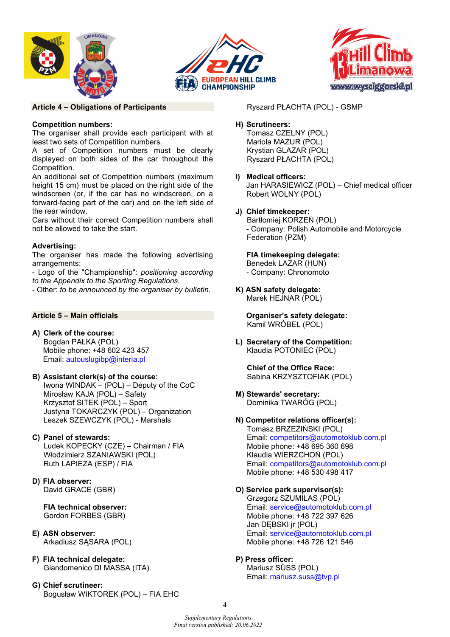





### **Article 4 – Obligations of Participants**

# **Competition numbers:**

The organiser shall provide each participant with at least two sets of Competition numbers.

A set of Competition numbers must be clearly displayed on both sides of the car throughout the Competition.

An additional set of Competition numbers (maximum height 15 cm) must be placed on the right side of the windscreen (or, if the car has no windscreen, on a forward-facing part of the car) and on the left side of the rear window.

Cars without their correct Competition numbers shall not be allowed to take the start.

# **Advertising:**

The organiser has made the following advertising arrangements:

- Logo of the "Championship": *positioning according to the Appendix to the Sporting Regulations.* 

- Other: *to be announced by the organiser by bulletin.*

# **Article 5 – Main officials**

**A) Clerk of the course:** Bogdan PAŁKA (POL) Mobile phone: +48 602 423 457 Email: [autouslugibp@interia.pl](mailto:autouslugibp@interia.pl) 

# **B) Assistant clerk(s) of the course:**

Iwona WINDAK – (POL) – Deputy of the CoC Mirosław KAJA (POL) – Safety Krzysztof SITEK (POL) – Sport Justyna TOKARCZYK (POL) – Organization Leszek SZEWCZYK (POL) - Marshals

# **C) Panel of stewards:**

Ludek KOPECKY (CZE) – Chairman / FIA Włodzimierz SZANIAWSKI (POL) Ruth LAPIEZA (ESP) / FIA

**D) FIA observer:** David GRACE (GBR)

> **FIA technical observer:** Gordon FORBES (GBR)

- **E) ASN observer:** Arkadiusz SĄSARA (POL)
- **F) FIA technical delegate:** Giandomenico DI MASSA (ITA)
- **G) Chief scrutineer:**  Bogusław WIKTOREK (POL) – FIA EHC

Ryszard PŁACHTA (POL) - GSMP

# **H) Scrutineers:**

Tomasz CZELNY (POL) Mariola MAZUR (POL) Krystian GLAZAR (POL) Ryszard PŁACHTA (POL)

- **I) Medical officers:**  Jan HARASIEWICZ (POL) – Chief medical officer Robert WOLNY (POL)
- **J) Chief timekeeper:** Bartłomiej KORZEŃ (POL) - Company: Polish Automobile and Motorcycle Federation (PZM)

# **FIA timekeeping delegate:** Benedek LAZAR (HUN)

- Company: Chronomoto

**K) ASN safety delegate:**  Marek HEJNAR (POL)

> **Organiser's safety delegate:**  Kamil WRÓBEL (POL)

**L) Secretary of the Competition:**  Klaudia POTONIEC (POL)

**Chief of the Office Race:** Sabina KRZYSZTOFIAK (POL)

- **M) Stewards' secretary:** Dominika TWARÓG (POL)
- **N) Competitor relations officer(s):** Tomasz BRZEZIŃSKI (POL) Email: [competitors@automotoklub.com.pl](mailto:competitors@automotoklub.com.pl)  Mobile phone: +48 695 360 698 Klaudia WIERZCHOŃ (POL) Email: [competitors@automotoklub.com.pl](mailto:competitors@automotoklub.com.pl)  Mobile phone: +48 530 498 417

# **O) Service park supervisor(s):**

Grzegorz SZUMILAS (POL) Email: [service@automotoklub.com.pl](mailto:service@automotoklub.com.pl)  Mobile phone: +48 722 397 626 Jan DĘBSKI jr (POL) Email: [service@automotoklub.com.pl](mailto:service@automotoklub.com.pl)  Mobile phone: +48 726 121 546

# **P) Press officer:**

Mariusz SÜSS (POL) Email: [mariusz.suss@tvp.pl](mailto:mariusz.suss@tvp.pl) 

**4**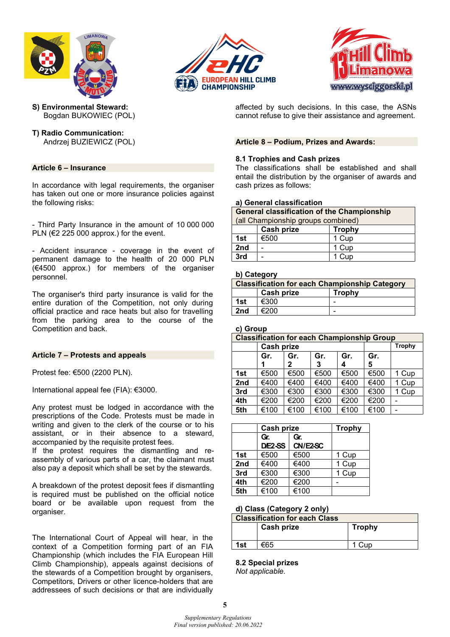





- **S) Environmental Steward:**  Bogdan BUKOWIEC (POL)
- **T) Radio Communication:**  Andrzej BUZIEWICZ (POL)

# **Article 6 – Insurance**

In accordance with legal requirements, the organiser has taken out one or more insurance policies against the following risks:

- Third Party Insurance in the amount of 10 000 000 PLN ( $E$ 225 000 approx.) for the event.

- Accident insurance - coverage in the event of permanent damage to the health of 20 000 PLN (€4500 approx.) for members of the organiser personnel.

The organiser's third party insurance is valid for the entire duration of the Competition, not only during official practice and race heats but also for travelling from the parking area to the course of the Competition and back.

### **Article 7 – Protests and appeals**

Protest fee: €500 (2200 PLN).

International appeal fee (FIA): €3000.

Any protest must be lodged in accordance with the prescriptions of the Code. Protests must be made in writing and given to the clerk of the course or to his assistant, or in their absence to a steward, accompanied by the requisite protest fees.

If the protest requires the dismantling and reassembly of various parts of a car, the claimant must also pay a deposit which shall be set by the stewards.

A breakdown of the protest deposit fees if dismantling is required must be published on the official notice board or be available upon request from the organiser.

The International Court of Appeal will hear, in the context of a Competition forming part of an FIA Championship (which includes the FIA European Hill Climb Championship), appeals against decisions of the stewards of a Competition brought by organisers, Competitors, Drivers or other licence-holders that are addressees of such decisions or that are individually

affected by such decisions. In this case, the ASNs cannot refuse to give their assistance and agreement.

#### **Article 8 – Podium, Prizes and Awards:**

#### **8.1 Trophies and Cash prizes**

**3rd** - 1 Cup

The classifications shall be established and shall entail the distribution by the organiser of awards and cash prizes as follows:

#### **a) General classification**

**General classification of the Championship**

| (all Championship groups combined) |      |       |
|------------------------------------|------|-------|
| Cash prize<br><b>Trophy</b>        |      |       |
| 1st                                | €500 | 1 Cup |
| 2nd                                |      | 1 Cup |

#### **b) Category**

| <b>Classification for each Championship Category</b> |                                    |  |
|------------------------------------------------------|------------------------------------|--|
|                                                      | <b>Cash prize</b><br><b>Trophy</b> |  |
| 1st                                                  | €300                               |  |
| 2nd                                                  | €200                               |  |

#### **c) Group**

| <b>Classification for each Championship Group</b> |                          |      |      |      |      |               |
|---------------------------------------------------|--------------------------|------|------|------|------|---------------|
|                                                   | <b>Cash prize</b>        |      |      |      |      | <b>Trophy</b> |
|                                                   | Gr.<br>Gr.<br>Gr.<br>Gr. |      |      |      | Gr.  |               |
|                                                   |                          | 2    | 3    | 4    | 5    |               |
| 1st                                               | €500                     | €500 | €500 | €500 | €500 | 1 Cup         |
| 2nd                                               | €400                     | €400 | €400 | €400 | €400 | 1 Cup         |
| 3rd                                               | €300                     | €300 | €300 | €300 | €300 | 1 Cup         |
| 4th                                               | €200                     | €200 | €200 | €200 | €200 |               |
| 5th                                               | €100                     | €100 | €100 | €100 | €100 |               |

|     | Cash prize |          | <b>Trophy</b> |
|-----|------------|----------|---------------|
|     | Gr.        | Gr.      |               |
|     | D/E2-SS    | CN/E2-SC |               |
| 1st | €500       | €500     | 1 Cup         |
| 2nd | €400       | €400     | 1 Cup         |
| 3rd | €300       | €300     | 1 Cup         |
| 4th | €200       | €200     |               |
| 5th | €100       | €100     |               |

### **d) Class (Category 2 only)**

| <b>Classification for each Class</b> |            |               |
|--------------------------------------|------------|---------------|
|                                      | Cash prize | <b>Trophy</b> |
|                                      |            |               |
| 1st                                  | €65        | 1 Cup         |
|                                      |            |               |

**8.2 Special prizes** *Not applicable*.